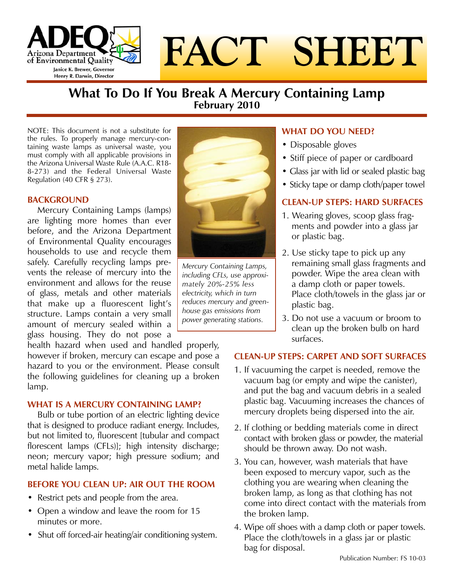

# **FACT SHEET**

# **What To Do If You Break A Mercury Containing Lamp February 2010**

NOTE: This document is not a substitute for the rules. To properly manage mercury-containing waste lamps as universal waste, you must comply with all applicable provisions in the Arizona Universal Waste Rule (A.A.C. R18- 8-273) and the Federal Universal Waste Regulation (40 CFR § 273).

#### **BACKGROUND**

Mercury Containing Lamps (lamps) are lighting more homes than ever before, and the Arizona Department of Environmental Quality encourages households to use and recycle them safely. Carefully recycling lamps prevents the release of mercury into the environment and allows for the reuse of glass, metals and other materials that make up a fluorescent light's structure. Lamps contain a very small amount of mercury sealed within a glass housing. They do not pose a

health hazard when used and handled properly, however if broken, mercury can escape and pose a hazard to you or the environment. Please consult the following guidelines for cleaning up a broken lamp.

#### **WHAT IS A MERCURY CONTAINING LAMP?**

Bulb or tube portion of an electric lighting device that is designed to produce radiant energy. Includes, but not limited to, fluorescent [tubular and compact florescent lamps (CFLs)]; high intensity discharge; neon; mercury vapor; high pressure sodium; and metal halide lamps.

### **BEFORE YOU CLEAN UP: AIR OUT THE ROOM**

- Restrict pets and people from the area.
- Open a window and leave the room for 15 minutes or more.
- Shut off forced-air heating/air conditioning system.



*Mercury Containing Lamps, including CFLs, use approximately 20%-25% less electricity, which in turn reduces mercury and greenhouse gas emissions from power generating stations.*

## **WHAT DO YOU NEED?**

- Disposable gloves
- Stiff piece of paper or cardboard
- Glass jar with lid or sealed plastic bag
- Sticky tape or damp cloth/paper towel

## **CLEAN-UP STEPS: HARD SURFACES**

- 1. Wearing gloves, scoop glass fragments and powder into a glass jar or plastic bag.
- 2. Use sticky tape to pick up any remaining small glass fragments and powder. Wipe the area clean with a damp cloth or paper towels. Place cloth/towels in the glass jar or plastic bag.
- 3. Do not use a vacuum or broom to clean up the broken bulb on hard surfaces.

#### **CLEAN-UP STEPS: CARPET AND SOFT SURFACES**

- 1. If vacuuming the carpet is needed, remove the vacuum bag (or empty and wipe the canister), and put the bag and vacuum debris in a sealed plastic bag. Vacuuming increases the chances of mercury droplets being dispersed into the air.
- 2. If clothing or bedding materials come in direct contact with broken glass or powder, the material should be thrown away. Do not wash.
- 3. You can, however, wash materials that have been exposed to mercury vapor, such as the clothing you are wearing when cleaning the broken lamp, as long as that clothing has not come into direct contact with the materials from the broken lamp.
- 4. Wipe off shoes with a damp cloth or paper towels. Place the cloth/towels in a glass jar or plastic bag for disposal.